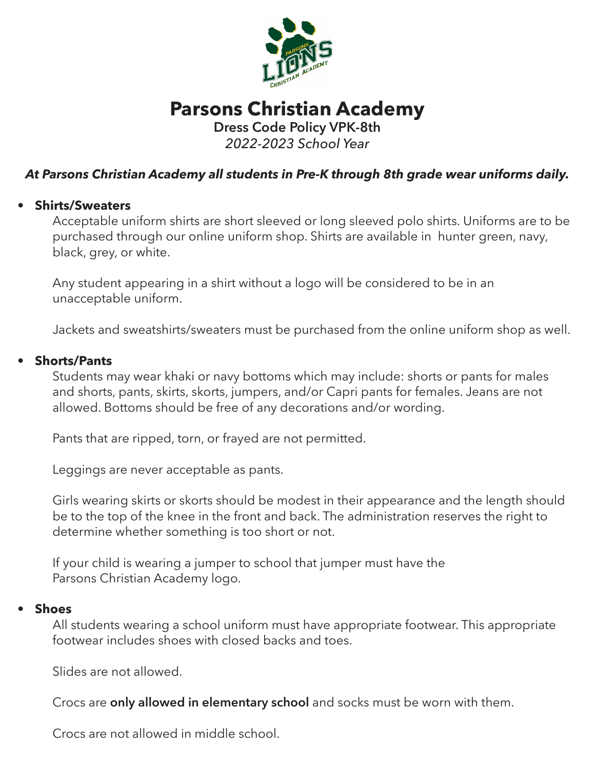

# **Parsons Christian Academy Dress Code Policy VPK-8th**

*2022-2023 School Year*

## *At Parsons Christian Academy all students in Pre-K through 8th grade wear uniforms daily.*

## **• Shirts/Sweaters**

Acceptable uniform shirts are short sleeved or long sleeved polo shirts. Uniforms are to be purchased through our online uniform shop. Shirts are available in hunter green, navy, black, grey, or white.

Any student appearing in a shirt without a logo will be considered to be in an unacceptable uniform.

Jackets and sweatshirts/sweaters must be purchased from the online uniform shop as well.

## **• Shorts/Pants**

Students may wear khaki or navy bottoms which may include: shorts or pants for males and shorts, pants, skirts, skorts, jumpers, and/or Capri pants for females. Jeans are not allowed. Bottoms should be free of any decorations and/or wording.

Pants that are ripped, torn, or frayed are not permitted.

Leggings are never acceptable as pants.

Girls wearing skirts or skorts should be modest in their appearance and the length should be to the top of the knee in the front and back. The administration reserves the right to determine whether something is too short or not.

If your child is wearing a jumper to school that jumper must have the Parsons Christian Academy logo.

#### **• Shoes**

All students wearing a school uniform must have appropriate footwear. This appropriate footwear includes shoes with closed backs and toes.

Slides are not allowed.

Crocs are **only allowed in elementary school** and socks must be worn with them.

Crocs are not allowed in middle school.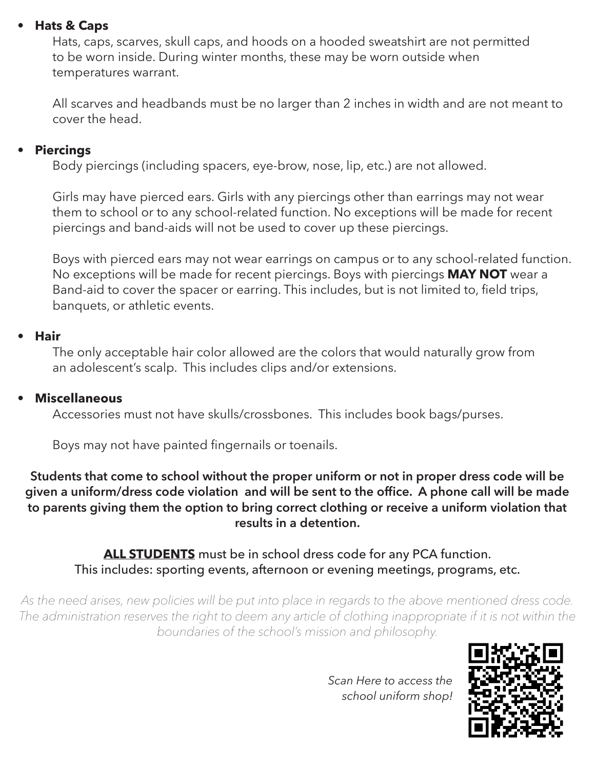## **• Hats & Caps**

Hats, caps, scarves, skull caps, and hoods on a hooded sweatshirt are not permitted to be worn inside. During winter months, these may be worn outside when temperatures warrant.

All scarves and headbands must be no larger than 2 inches in width and are not meant to cover the head.

#### **• Piercings**

Body piercings (including spacers, eye-brow, nose, lip, etc.) are not allowed.

Girls may have pierced ears. Girls with any piercings other than earrings may not wear them to school or to any school-related function. No exceptions will be made for recent piercings and band-aids will not be used to cover up these piercings.

Boys with pierced ears may not wear earrings on campus or to any school-related function. No exceptions will be made for recent piercings. Boys with piercings **MAY NOT** wear a Band-aid to cover the spacer or earring. This includes, but is not limited to, field trips, banquets, or athletic events.

## **• Hair**

The only acceptable hair color allowed are the colors that would naturally grow from an adolescent's scalp. This includes clips and/or extensions.

#### **• Miscellaneous**

Accessories must not have skulls/crossbones. This includes book bags/purses.

 Boys may not have painted fingernails or toenails.

**Students that come to school without the proper uniform or not in proper dress code will be given a uniform/dress code violation and will be sent to the office. A phone call will be made to parents giving them the option to bring correct clothing or receive a uniform violation that results in a detention.**

**ALL STUDENTS** must be in school dress code for any PCA function. This includes: sporting events, afternoon or evening meetings, programs, etc.

*As the need arises, new policies will be put into place in regards to the above mentioned dress code.*  The administration reserves the right to deem any article of clothing inappropriate if it is not within the *boundaries of the school's mission and philosophy.*



*Scan Here to access the school uniform shop!*